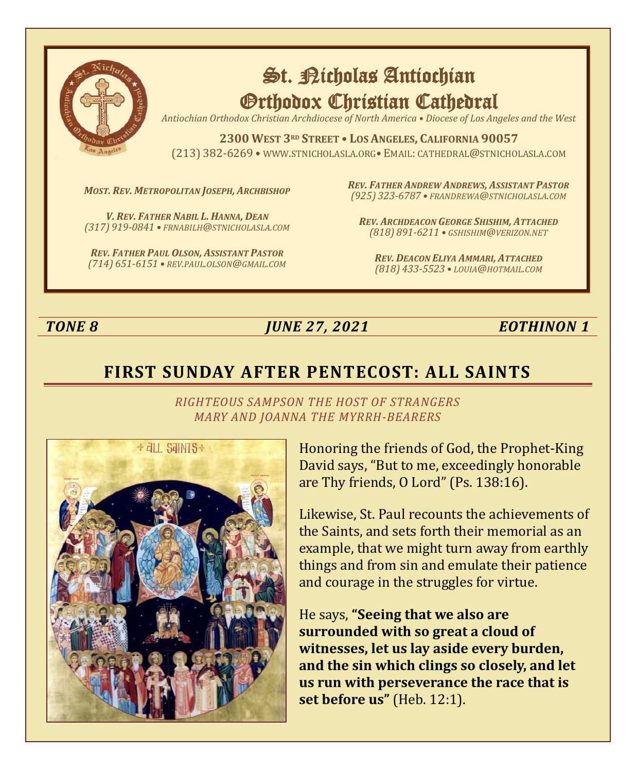

# St. Nicholas Antiochian Orthodox Christian Cathedral

*Antiochian Orthodox Christian Archdiocese of North America • Diocese of Los Angeles and the West*

**2300 WEST 3RD STREET • LOS ANGELES, CALIFORNIA 90057** (213) 382-6269 • WWW.STNICHOLASLA.ORG• EMAIL: CATHEDRAL@STNICHOLASLA.COM

*MOST. REV. METROPOLITAN JOSEPH, ARCHBISHOP*

*V. REV. FATHER NABIL L. HANNA, DEAN (317) 919-0841 • FRNABILH@STNICHOLASLA.COM*

*REV. FATHER PAUL OLSON, ASSISTANT PASTOR (714) 651-6151 • REV.PAUL.OLSON@GMAIL.COM* *REV. FATHER ANDREW ANDREWS, ASSISTANT PASTOR (925) 323-6787 • FRANDREWA@STNICHOLASLA.COM*

*REV. ARCHDEACON GEORGE SHISHIM, ATTACHED (818) 891-6211 • GSHISHIM@VERIZON.NET*

*REV. DEACON ELIYA AMMARI, ATTACHED (818) 433-5523 • LOUIA@HOTMAIL.COM*

*TONE 8 JUNE 27, 2021 EOTHINON 1*

# **FIRST SUNDAY AFTER PENTECOST: ALL SAINTS**



*RIGHTEOUS SAMPSON THE HOST OF STRANGERS MARY AND JOANNA THE MYRRH-BEARERS*

> Honoring the friends of God, the Prophet-King David says, "But to me, exceedingly honorable are Thy friends, O Lord" (Ps. 138:16).

Likewise, St. Paul recounts the achievements of the Saints, and sets forth their memorial as an example, that we might turn away from earthly things and from sin and emulate their patience and courage in the struggles for virtue.

He says, **"Seeing that we also are surrounded with so great a cloud of witnesses, let us lay aside every burden, and the sin which clings so closely, and let us run with perseverance the race that is set before us"** (Heb. 12:1).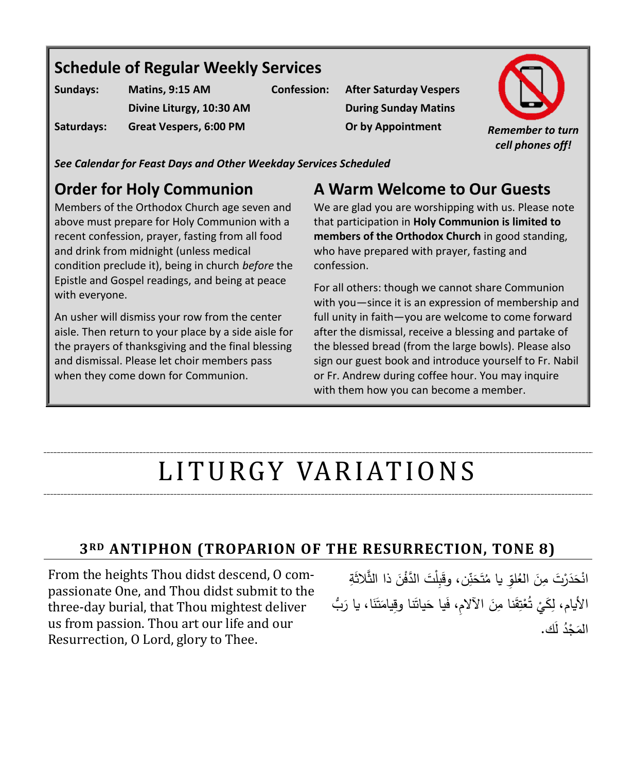# **Schedule of Regular Weekly Services**

| Sundays:   | Matins, 9:15 AM          |
|------------|--------------------------|
|            | Divine Liturgy, 10:30 AM |
| Saturdays: | Great Vespers, 6:00 PM   |

**Confession: After Saturday Vespers During Sunday Matins**



*See Calendar for Feast Days and Other Weekday Services Scheduled*

# **Order for Holy Communion**

Members of the Orthodox Church age seven and above must prepare for Holy Communion with a recent confession, prayer, fasting from all food and drink from midnight (unless medical condition preclude it), being in church *before* the Epistle and Gospel readings, and being at peace with everyone.

An usher will dismiss your row from the center aisle. Then return to your place by a side aisle for the prayers of thanksgiving and the final blessing and dismissal. Please let choir members pass when they come down for Communion.

# **A Warm Welcome to Our Guests**

We are glad you are worshipping with us. Please note that participation in **Holy Communion is limited to members of the Orthodox Church** in good standing, who have prepared with prayer, fasting and confession.

For all others: though we cannot share Communion with you—since it is an expression of membership and full unity in faith—you are welcome to come forward after the dismissal, receive a blessing and partake of the blessed bread (from the large bowls). Please also sign our guest book and introduce yourself to Fr. Nabil or Fr. Andrew during coffee hour. You may inquire with them how you can become a member.

# LITURGY VARIATIONS

### **3RD ANTIPHON (TROPARION OF THE RESURRECTION, TONE 8)**

From the heights Thou didst descend, O compassionate One, and Thou didst submit to the three-day burial, that Thou mightest deliver us from passion. Thou art our life and our Resurrection, O Lord, glory to Thee.

َ انْحَدَرْتَ مِنَ العُلوِّ يا مُتَحَنِّن، وقَبِلْتَ الدَّفْنَ ذا الثَّلاثَةِ <u>َ</u> َ َ <u>َ</u> َ الأيام، لِكَيْ تُعْتِقَنا مِنَ الآلامِ، فَيا حَياتَنا وقِيامَتَنَا، يا رَبُّ .<br>. َ <u>َ</u> َ <u>َ</u> َ <u>َ</u> .<br>م ْ **ٔ** المَجْدُ لك.<br>-**ٔ** ً<br>ً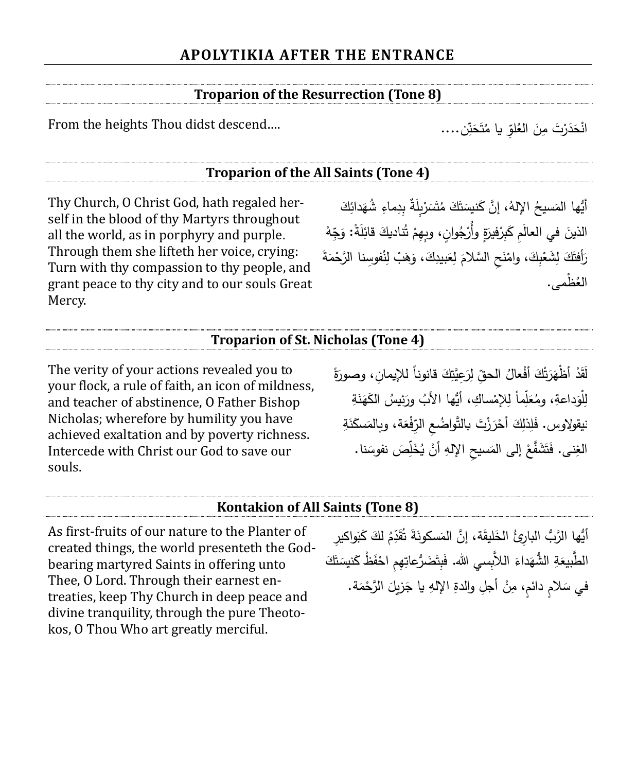#### **Troparion of the Resurrection (Tone 8)**

From the heights Thou didst descend....

#### **Troparion of the All Saints (Tone 4)**

Thy Church, O Christ God, hath regaled herself in the blood of thy Martyrs throughout all the world, as in porphyry and purple. Through them she lifteth her voice, crying: Turn with thy compassion to thy people, and grant peace to thy city and to our souls Great Mercy.

َ أَيُّها المَسيحُ الإِلهُ، إنَّ كَنيسَتَكَ مُتَسَرْبِلَةٌ بِدِماءِ شُهَدائِكَ<br>أ َ .<br>أ ا<br>ا َ َ َ َ ْ الذينَ في العالَمِ كَبِرْفيرَةٍ وأَرْجُوانٍ، وبِهِمْ تُناديكَ قائِلَةً: وَجِّهْ َ َ ْ َ .<br>أ َ <u>:</u> ٔ رَأفتَكَ لِشَعْبِكَ، وامْنَحِ السَّلامَ لِعَبيدِكَ، وَهَبْ لِنُفوسِنا الرَّحْمَةَ َ مُ ٔ. ْ َ ْ َ َ ً **ٔ ٔ** َ العُظمى.

#### **Troparion of St. Nicholas (Tone 4)**

The verity of your actions revealed you to your flock, a rule of faith, an icon of mildness, and teacher of abstinence, O Father Bishop Nicholas; wherefore by humility you have achieved exaltation and by poverty richness. Intercede with Christ our God to save our souls.

لَقَدْ أَظْهَرَتْكَ أَفْعالُ الحقِّ لِرَعِيَّتِكَ قانوناً للإيمانِ، وصورَةً َ َ .<br>. َ .<br>. َ .<br>-لِلْوَداعةِ، ومُعَلِّماً لِلإِمْساكِ، أَيُّها الأَبُ ورَئِيسُ الكَهَذَةِ َ .<br>. ْ َ َ نيقولاوس. فَلِذَلِكَ أَحْرَزْتَ بالتَّواضُعِ الرِّفْعَة، وبالمَسكَذَةِ َ َ ً<br>ً َ .<br>ا ٔ الغِنى. فَتَشَفَّعْ إلى المَسيحِ الإلهِ أنْ يُخَلِّصَ نفوسَنا. ً<br>ا َ <u>:</u> ً <u>ٔ</u>

#### **Kontakion of All Saints (Tone 8)**

As first-fruits of our nature to the Planter of created things, the world presenteth the Godbearing martyred Saints in offering unto Thee, O Lord. Through their earnest entreaties, keep Thy Church in deep peace and divine tranquility, through the pure Theotokos, O Thou Who art greatly merciful.

أَيُّها الرَّبُ البارِئُ الخَليقَة، إنَّ المَسكونَةَ تُقَدِّمُ لكَ كَبَواكيرِ َ َ ۱ َ َ ٔ<br>ا الطَّبيعَةِ الشُّهَداءَ اللاَّبِسي الله. فَبِتَضَرُّعاتِهِمِ احْفَظْ كَنيسَتَكَ َ َ **ٔ** َ َ َ َ في سَلامٍ دائمٍ، مِنْ أجلِ والدةِ الإلهِ يا جَزيلَ الرَّحْمَة. َ ْ  $\overline{a}$ َ .<br>-

انْحَدَرْتَ مِنَ الْعُلْوِّ يا مُتَحَزِّن.... َ <u>َ</u> َ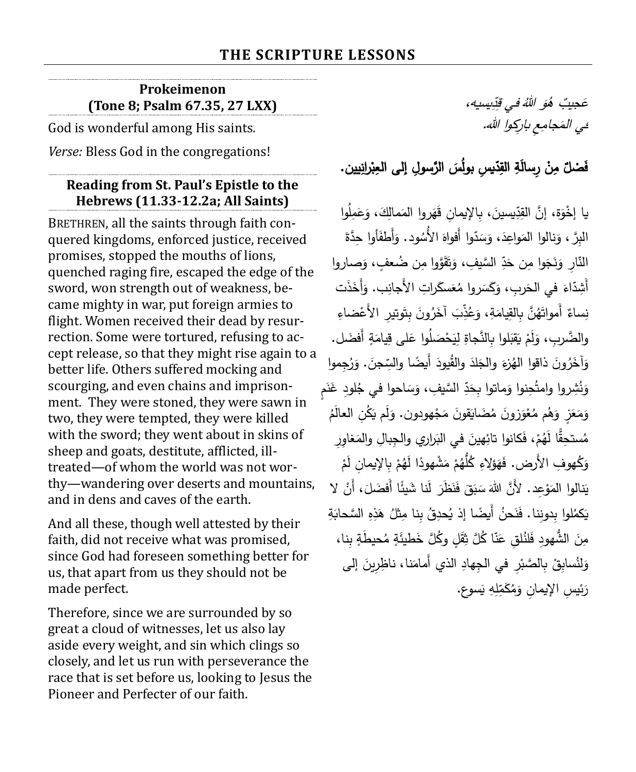#### **Prokeimenon (Tone 8; Psalm 67.35, 27 LXX)**

God is wonderful among His saints.

*Verse:* Bless God in the congregations!

#### **Reading from St. Paul's Epistle to the Hebrews (11.33-12.2a; All Saints)**

BRETHREN, all the saints through faith conquered kingdoms, enforced justice, received promises, stopped the mouths of lions, quenched raging fire, escaped the edge of the sword, won strength out of weakness, became mighty in war, put foreign armies to flight. Women received their dead by resurrection. Some were tortured, refusing to accept release, so that they might rise again to a better life. Others suffered mocking and scourging, and even chains and imprisonment. They were stoned, they were sawn in two, they were tempted, they were killed with the sword; they went about in skins of sheep and goats, destitute, afflicted, illtreated—of whom the world was not worthy—wandering over deserts and mountains, and in dens and caves of the earth.

And all these, though well attested by their faith, did not receive what was promised, since God had foreseen something better for us, that apart from us they should not be made perfect.

Therefore, since we are surrounded by so great a cloud of witnesses, let us also lay aside every weight, and sin which clings so closely, and let us run with perseverance the race that is set before us, looking to Jesus the Pioneer and Perfecter of our faith.

يسيه، ِ د ِ في <sup>ق</sup> َُ هللا و ٌُب <sup>ه</sup> َجي ع عي المَجامِعِ باركِوا الله.

#### فَضلّ مِنْ رِسالَةِ القِدّيسِ بولُسَ الرَّسولِ إلى العِبْرانِيين. ْ ֧֞<u>֚</u> َ

يا إِخْوَة، إِنَّ القِدِّيسينَ، بِالإِيمانِ قَهَروا المَمالِكَ، وَعَمِلُوا َ َ ٔ<br>ا َ َ ِّ َ َ الْبِرَّ ، وَنِالُوا المَواعِدَ، وَسَدّوا أَفواهَ الأَسُود. وَأَطفَأُوا حِدَّةَ .<br>م َ َ ا<br>ا َ ٔ<br>ا َ َ النّارِ وَنَجَوا مِن حَدِّ السَّيفِ، وَنَقَوَّوا مِن <mark>صُعفٍ، وَصاروا</mark> َ َ َ َ َ أَشِدَّاءَ في الحَربِ، وَكَسَروا مُعَسكَراتِ الأَجانِب. وَأَخَذَت َ ا<br>ا َ َ َ َ نِساءٌ أَمواتَهُنَّ بِالقِيامَةِ، وَعُذِّبَ آخَرُونَ بِتَوتيرِ الأَعْضاءِ <u>:</u> **ٔ** َ َ والضَّربِ، وَلَمْ يَقبَلوا بِالنَّجاةِ لِيَحْصَلُوا عَلى قِيامَةٍ أَفضَل. َ َ ً<br>ا َ <u>َ</u> ْ َ وَآخَرُونَ ذاقوا الهُزْءَ والجَلدَ والقُيودَ أَيضًا والسِّجنَ. وَرُجِموا َ َ َ ֺ֧֖֧֚֚֚֚֚֚֚֚֚֚֚֚֚֚֚֚֚֚֚֚֚֚֚֚֚֚֚֚֚֝֩ َ <u>َ</u> َ وَنُثِروا وامتُحِنوا وَماتوا بِحَدِّ السَّيفِ، وَسَاحوا في جُلودِ غَنَمٍ َ ا<br>ا َ َ َ وَمَعَزٍ وَهُم مُعْوَزونَ مُضَايَقونَ مَجْهودون. وَلَم يَكُنِ العالَمُ ؘ<br>ؙ َ **ٔ** ً<br>ً <u>َ</u> َ ْ َ َ ً<br>ً َ مُستحِقًّا لَهُمْ، فَكانوا تائِهينَ في البَراري والجِبالِ والمَغاوِرِ َ ۱. <u>:</u> ْ ْ وَكُهوفِ الأَرض. فَهَؤلاءِ كُلُّهُمْ مَشْهودًا لَهُمْ بِالإِيمانِ لَمْ َ ْ َ َ ْ يَنالوا المَوْعِد. لأَنَّ اللهَ سَبَقَ فَنَظَرَ لَنا شَيئًا أفضَلَ، أَنْ لا ٔ<br>ا .<br>ا .<br>ا  $\overline{\phantom{0}}$ ــد<br>ا َ ْ ً ا<br>ا يَكمُلوا بِدونِنا. فَنَحنُ أَيضًا إذ يُحدِقُ بِنا مِثْلُ هَذِهِ السَّحابَةِ ٔ. ى<br>ئا ؘ<br>ؙ مِنَ الشُّهودِ فَلنُلقِ عَنّا كُلَّ ثِقَلٍ وكُلَّ خَطيئَةٍ مُحيطَةٍ بِنا، .<br>م َ َ <u>َ</u> وَلِنُسابِقْ بِالصَّبْرِ في الجِهادِ الذي أَمامَنا، ناظِرِينَ إلى **ٔ** َ **ٔ** <u>َ</u> َ َسوع. ي هِ ِ ل ِ َم ك ُ م ئي ِس اإليما ِن و رَ .<br>.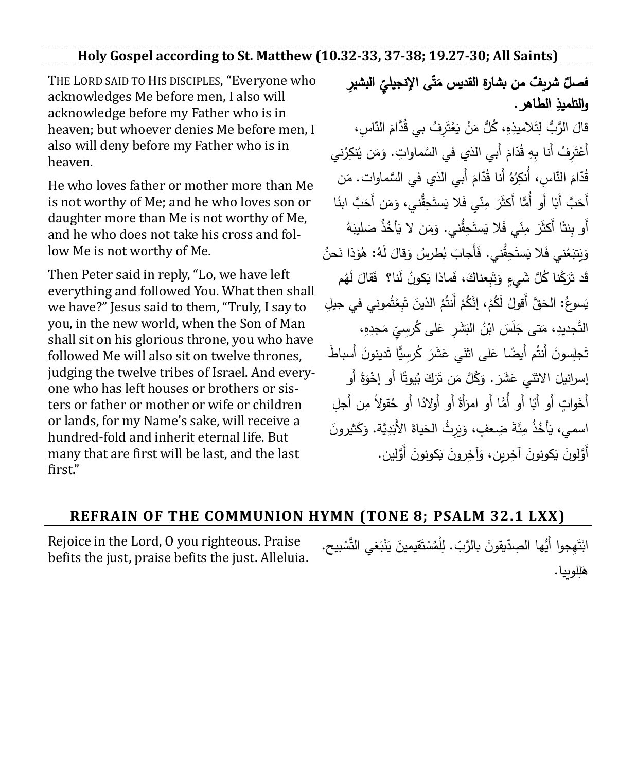**Holy Gospel according to St. Matthew (10.32-33, 37-38; 19.27-30; All Saints)**

THE LORD SAID TO HIS DISCIPLES, "Everyone who acknowledges Me before men, I also will acknowledge before my Father who is in heaven; but whoever denies Me before men, I also will deny before my Father who is in heaven.

He who loves father or mother more than Me is not worthy of Me; and he who loves son or daughter more than Me is not worthy of Me, and he who does not take his cross and follow Me is not worthy of Me.

Then Peter said in reply, "Lo, we have left everything and followed You. What then shall we have?" Jesus said to them, "Truly, I say to you, in the new world, when the Son of Man shall sit on his glorious throne, you who have followed Me will also sit on twelve thrones, judging the twelve tribes of Israel. And everyone who has left houses or brothers or sisters or father or mother or wife or children or lands, for my Name's sake, will receive a hundred-fold and inherit eternal life. But many that are first will be last, and the last first."

فصلٌ شريفٌ من بشارةِ القديس مَتَّى الإنجيليِّ البشيرِ<br>سديد منذ بن َ والتلميذِ الطاهر .

قالَ الرَّبُ لِتَلاميذِهِ، كُلُّ مَنْ يَعْتَرِفُ بي قُدَّامَ النّاسِ،  $\overline{a}$ َ Ì ْ ٔ. <u>:</u> َ أَعْتَرِفُ أَنا بِهِ قُدّامَ أَبي الذي في السَّماواتِ. وَمَن يُنكِرُني ٔ<br>ّ َ مُ Ì ْ قُدّامَ النّاسِ، أَنكِرُهُ أَنا قُدّامَ أَبي الذي في السَّماوات. مَن َ مُ مُ َ أَهَبَّ أَبَا أَو أَمَّا أَكثَرَ مِنّي فَلا يَستَحِقُّني، وَمَن أَحَبَّ ابنًا َ .<br>ا َ َ ً أَو بِنتًا أَكثَرَ مِنّي فَلا يَستَحِقُّني. وَمَن لا يَأخُذُ صَليبَهُ **ٔ** َ ٔ. ً َ ــّ<br>ا .<br>. وَيَتَبَعُني فَلا يَستَحِقُّني. فَأَجابَ بُطْرسُ وَقالَ لَهُ: هُوَذَا نَحنُ َ ٔ<br>ا َ **ٔ** َ َ ؘ<br>֚ ا<br>ا َ قَد تَرَكْنا كُلَّ شَيءٍ وَتَبِعناكَ، فَماذا يَكونُ لَنا؟ ۚ فَقالَ لَهُم ٔ<br>ا .<br>ا َ <u>بَ</u> َ .<br>. يَسوعُ: الحَقَّ أقولُ لَكُمْ، إِنَّكُمْ أَنتُمُ الذينَ تَبِعْتُموني في جيلِ َ ْ į <u>َ</u> ْ ْ التَّجديدِ، مَتـى جَلَسَ ابْنُ البَشَرِ عَلـى كُرسِيِّ مَجدِهِ،<br>-َ َ ا.<br>ا َ َ تَجلِسونَ أَنتُم أَيضًا عَلى اثنَي عَشَرَ كُرسِيًّا تَدينونَ أَسباطَ  $\ddot{\phantom{0}}$ .<br>ا َ <u>:</u> أَو ً ة ْخو ا أَو إ ً يوت ُ ب َك َر ن ت ُّل م ُ ك . و َ َشر َي ع االثن إس ارئيل َ ٔ َ َ .<br>. ٔ<br>ا َ أَخَواتٍ أَو أَبَا أَو أَمَّا أَو امرَأَةً أَو أَوْلادًا أَو حُقولاً مِن أَجلِ .<br>. <u>َ</u> اسمي، يَأخُذُ مِئَةَ ضِعفٍ، وَيَرِثُ الحَياةَ الأَبَدِيَّة. وَكَثيرونَ َ َ َ َ َ ١. َ ٔ. أَوَّلونَ يَكونونَ آخِرين، وَآخِرونَ يَكونونَ أَوَّلين. <u>َ</u>ّ .<br>ا <u>َ</u> َ <u>:</u> ٔ. <u>:</u>

#### **REFRAIN OF THE COMMUNION HYMN (TONE 8; PSALM 32.1 LXX)**

Rejoice in the Lord, O you righteous. Praise befits the just, praise befits the just. Alleluia. ابْتَهِجوا أَيُّها الصِدّيقونَ بالرَّبّ. لِلْمُسْتَقيمينَ يَنْبَغي التَّسْبيح. ْ **ٔ** ֡֘֝֟ .<br>ا <u>َ</u> <u>بَ</u> ْ <u>َ</u> <u>َ</u> ْ هَلِلوبيا. گا<br>ا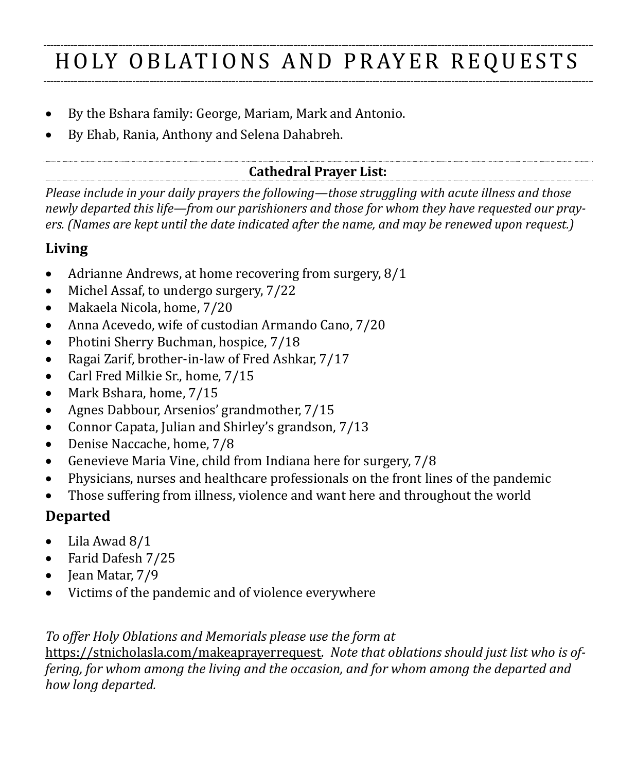# HOLY OBLATIONS AND PRAYER REQUESTS

- By the Bshara family: George, Mariam, Mark and Antonio.
- By Ehab, Rania, Anthony and Selena Dahabreh.

#### **Cathedral Prayer List:**

*Please include in your daily prayers the following—those struggling with acute illness and those newly departed this life—from our parishioners and those for whom they have requested our prayers. (Names are kept until the date indicated after the name, and may be renewed upon request.)*

### **Living**

- Adrianne Andrews, at home recovering from surgery, 8/1
- Michel Assaf, to undergo surgery,  $7/22$
- Makaela Nicola, home, 7/20
- Anna Acevedo, wife of custodian Armando Cano, 7/20
- Photini Sherry Buchman, hospice, 7/18
- Ragai Zarif, brother-in-law of Fred Ashkar, 7/17
- Carl Fred Milkie Sr., home, 7/15
- Mark Bshara, home, 7/15
- Agnes Dabbour, Arsenios' grandmother, 7/15
- Connor Capata, Julian and Shirley's grandson, 7/13
- Denise Naccache, home, 7/8
- Genevieve Maria Vine, child from Indiana here for surgery, 7/8
- Physicians, nurses and healthcare professionals on the front lines of the pandemic
- Those suffering from illness, violence and want here and throughout the world

# **Departed**

- Lila Awad 8/1
- Farid Dafesh 7/25
- Jean Matar, 7/9
- Victims of the pandemic and of violence everywhere

*To offer Holy Oblations and Memorials please use the form at* 

<https://stnicholasla.com/makeaprayerrequest>*. Note that oblations should just list who is offering, for whom among the living and the occasion, and for whom among the departed and how long departed.*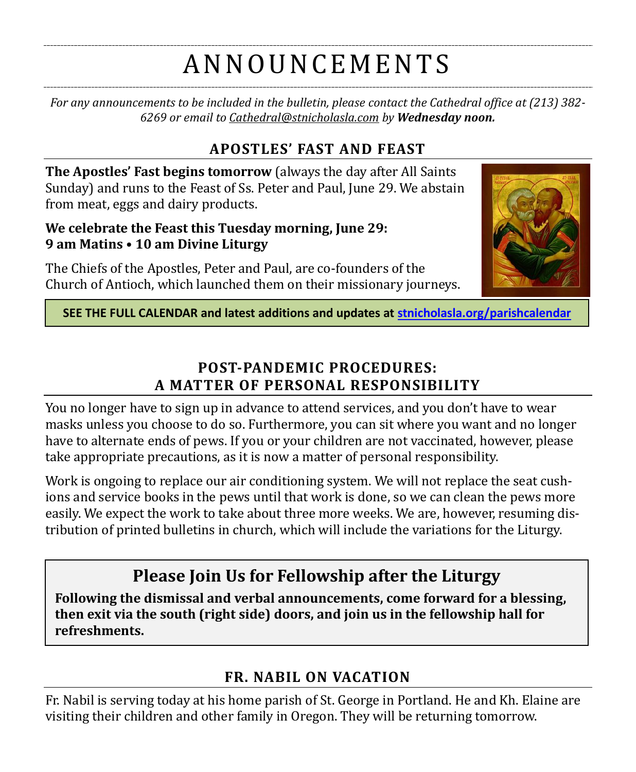# A N N O U N CE M E N T S

*For any announcements to be included in the bulletin, please contact the Cathedral office at (213) 382- 6269 or email to [Cathedral@stnicholasla.com](mailto:Cathedral@stnicholasla.com) by Wednesday noon.*

# **APOSTLES' FAST AND FEAST**

**The Apostles' Fast begins tomorrow** (always the day after All Saints Sunday) and runs to the Feast of Ss. Peter and Paul, June 29. We abstain from meat, eggs and dairy products.

#### **We celebrate the Feast this Tuesday morning, June 29: 9 am Matins • 10 am Divine Liturgy**

The Chiefs of the Apostles, Peter and Paul, are co-founders of the Church of Antioch, which launched them on their missionary journeys.



**SEE THE FULL CALENDAR and latest additions and updates at [stnicholasla.org/parishcalendar](https://stnicholasla.org/parishcalendar)**

# **POST-PANDEMIC PROCEDURES: A MATTER OF PERSONAL RESPONSIBILITY**

You no longer have to sign up in advance to attend services, and you don't have to wear masks unless you choose to do so. Furthermore, you can sit where you want and no longer have to alternate ends of pews. If you or your children are not vaccinated, however, please take appropriate precautions, as it is now a matter of personal responsibility.

Work is ongoing to replace our air conditioning system. We will not replace the seat cushions and service books in the pews until that work is done, so we can clean the pews more easily. We expect the work to take about three more weeks. We are, however, resuming distribution of printed bulletins in church, which will include the variations for the Liturgy.

# **Please Join Us for Fellowship after the Liturgy**

**Following the dismissal and verbal announcements, come forward for a blessing, then exit via the south (right side) doors, and join us in the fellowship hall for refreshments.** 

# **FR. NABIL ON VACATION**

Fr. Nabil is serving today at his home parish of St. George in Portland. He and Kh. Elaine are visiting their children and other family in Oregon. They will be returning tomorrow.